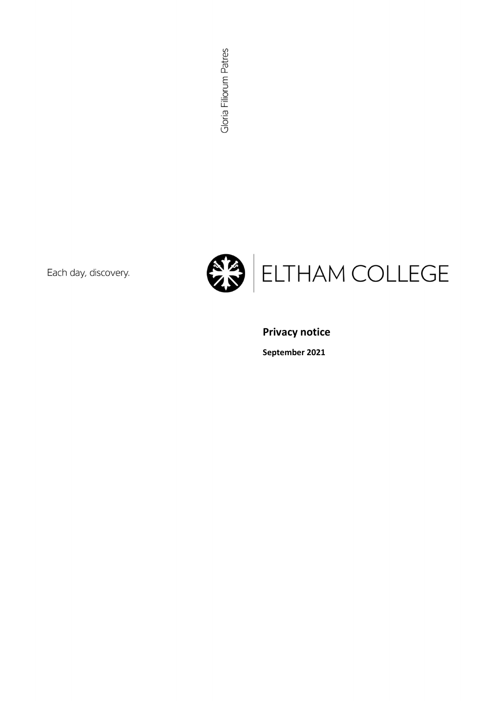Gloria Filiorum Patres

Each day, discovery.



Privacy notice

September 2021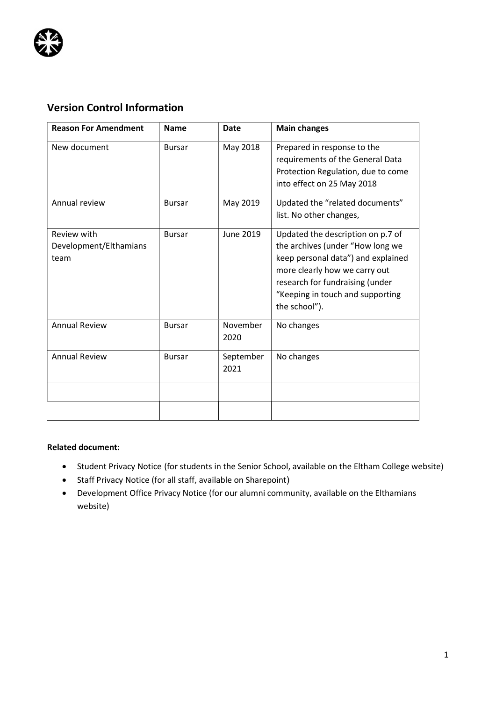

# Version Control Information

| <b>Reason For Amendment</b>                   | <b>Name</b>   | Date              | <b>Main changes</b>                                                                                                                                                                                                                  |
|-----------------------------------------------|---------------|-------------------|--------------------------------------------------------------------------------------------------------------------------------------------------------------------------------------------------------------------------------------|
| New document                                  | <b>Bursar</b> | May 2018          | Prepared in response to the<br>requirements of the General Data<br>Protection Regulation, due to come<br>into effect on 25 May 2018                                                                                                  |
| Annual review                                 | <b>Bursar</b> | May 2019          | Updated the "related documents"<br>list. No other changes,                                                                                                                                                                           |
| Review with<br>Development/Elthamians<br>team | <b>Bursar</b> | June 2019         | Updated the description on p.7 of<br>the archives (under "How long we<br>keep personal data") and explained<br>more clearly how we carry out<br>research for fundraising (under<br>"Keeping in touch and supporting<br>the school"). |
| <b>Annual Review</b>                          | <b>Bursar</b> | November<br>2020  | No changes                                                                                                                                                                                                                           |
| <b>Annual Review</b>                          | <b>Bursar</b> | September<br>2021 | No changes                                                                                                                                                                                                                           |
|                                               |               |                   |                                                                                                                                                                                                                                      |

# Related document:

- Student Privacy Notice (for students in the Senior School, available on the Eltham College website)
- Staff Privacy Notice (for all staff, available on Sharepoint)
- Development Office Privacy Notice (for our alumni community, available on the Elthamians website)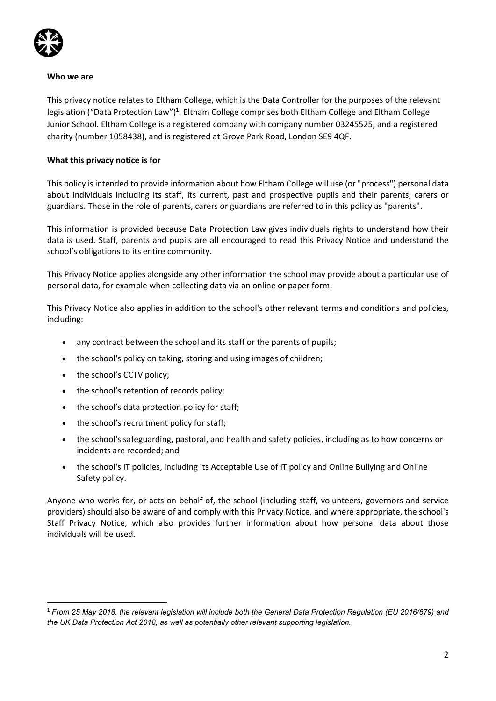

#### Who we are

This privacy notice relates to Eltham College, which is the Data Controller for the purposes of the relevant legislation ("Data Protection Law")<sup>1</sup>. Eltham College comprises both Eltham College and Eltham College Junior School. Eltham College is a registered company with company number 03245525, and a registered charity (number 1058438), and is registered at Grove Park Road, London SE9 4QF.

## What this privacy notice is for

This policy is intended to provide information about how Eltham College will use (or "process") personal data about individuals including its staff, its current, past and prospective pupils and their parents, carers or guardians. Those in the role of parents, carers or guardians are referred to in this policy as "parents".

This information is provided because Data Protection Law gives individuals rights to understand how their data is used. Staff, parents and pupils are all encouraged to read this Privacy Notice and understand the school's obligations to its entire community.

This Privacy Notice applies alongside any other information the school may provide about a particular use of personal data, for example when collecting data via an online or paper form.

This Privacy Notice also applies in addition to the school's other relevant terms and conditions and policies, including:

- any contract between the school and its staff or the parents of pupils;
- the school's policy on taking, storing and using images of children;
- the school's CCTV policy;
- the school's retention of records policy;
- the school's data protection policy for staff;
- the school's recruitment policy for staff;
- the school's safeguarding, pastoral, and health and safety policies, including as to how concerns or incidents are recorded; and
- the school's IT policies, including its Acceptable Use of IT policy and Online Bullying and Online Safety policy.

Anyone who works for, or acts on behalf of, the school (including staff, volunteers, governors and service providers) should also be aware of and comply with this Privacy Notice, and where appropriate, the school's Staff Privacy Notice, which also provides further information about how personal data about those individuals will be used.

<sup>1</sup> From 25 May 2018, the relevant legislation will include both the General Data Protection Regulation (EU 2016/679) and the UK Data Protection Act 2018, as well as potentially other relevant supporting legislation.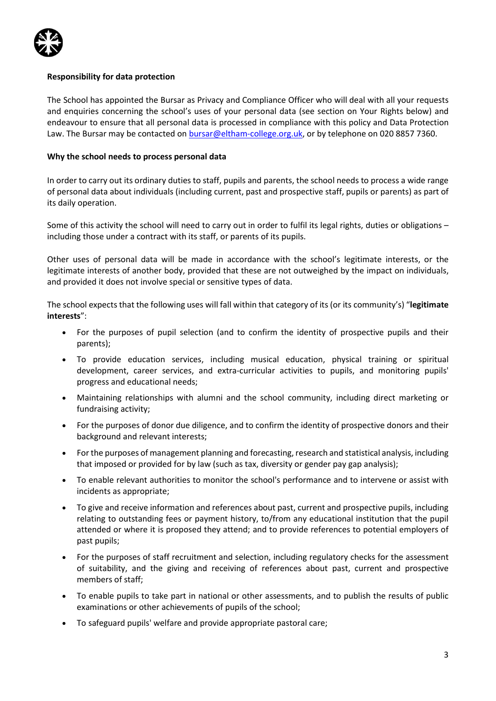

## Responsibility for data protection

The School has appointed the Bursar as Privacy and Compliance Officer who will deal with all your requests and enquiries concerning the school's uses of your personal data (see section on Your Rights below) and endeavour to ensure that all personal data is processed in compliance with this policy and Data Protection Law. The Bursar may be contacted on bursar@eltham-college.org.uk, or by telephone on 020 8857 7360.

#### Why the school needs to process personal data

In order to carry out its ordinary duties to staff, pupils and parents, the school needs to process a wide range of personal data about individuals (including current, past and prospective staff, pupils or parents) as part of its daily operation.

Some of this activity the school will need to carry out in order to fulfil its legal rights, duties or obligations – including those under a contract with its staff, or parents of its pupils.

Other uses of personal data will be made in accordance with the school's legitimate interests, or the legitimate interests of another body, provided that these are not outweighed by the impact on individuals, and provided it does not involve special or sensitive types of data.

The school expects that the following uses will fall within that category of its (or its community's) "legitimate interests":

- For the purposes of pupil selection (and to confirm the identity of prospective pupils and their parents);
- To provide education services, including musical education, physical training or spiritual development, career services, and extra-curricular activities to pupils, and monitoring pupils' progress and educational needs;
- Maintaining relationships with alumni and the school community, including direct marketing or fundraising activity;
- For the purposes of donor due diligence, and to confirm the identity of prospective donors and their background and relevant interests;
- For the purposes of management planning and forecasting, research and statistical analysis, including that imposed or provided for by law (such as tax, diversity or gender pay gap analysis);
- To enable relevant authorities to monitor the school's performance and to intervene or assist with incidents as appropriate;
- To give and receive information and references about past, current and prospective pupils, including relating to outstanding fees or payment history, to/from any educational institution that the pupil attended or where it is proposed they attend; and to provide references to potential employers of past pupils;
- For the purposes of staff recruitment and selection, including regulatory checks for the assessment of suitability, and the giving and receiving of references about past, current and prospective members of staff;
- To enable pupils to take part in national or other assessments, and to publish the results of public examinations or other achievements of pupils of the school;
- To safeguard pupils' welfare and provide appropriate pastoral care;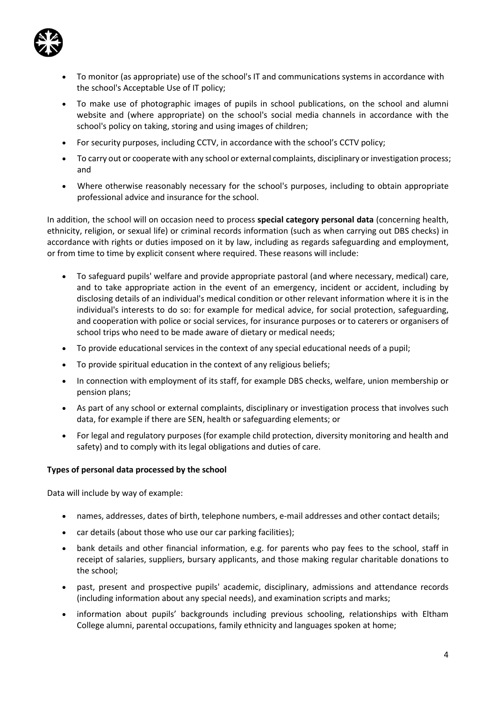

- To monitor (as appropriate) use of the school's IT and communications systems in accordance with the school's Acceptable Use of IT policy;
- To make use of photographic images of pupils in school publications, on the school and alumni website and (where appropriate) on the school's social media channels in accordance with the school's policy on taking, storing and using images of children;
- For security purposes, including CCTV, in accordance with the school's CCTV policy;
- To carry out or cooperate with any school or external complaints, disciplinary or investigation process; and
- Where otherwise reasonably necessary for the school's purposes, including to obtain appropriate professional advice and insurance for the school.

In addition, the school will on occasion need to process special category personal data (concerning health, ethnicity, religion, or sexual life) or criminal records information (such as when carrying out DBS checks) in accordance with rights or duties imposed on it by law, including as regards safeguarding and employment, or from time to time by explicit consent where required. These reasons will include:

- To safeguard pupils' welfare and provide appropriate pastoral (and where necessary, medical) care, and to take appropriate action in the event of an emergency, incident or accident, including by disclosing details of an individual's medical condition or other relevant information where it is in the individual's interests to do so: for example for medical advice, for social protection, safeguarding, and cooperation with police or social services, for insurance purposes or to caterers or organisers of school trips who need to be made aware of dietary or medical needs;
- To provide educational services in the context of any special educational needs of a pupil;
- To provide spiritual education in the context of any religious beliefs;
- In connection with employment of its staff, for example DBS checks, welfare, union membership or pension plans;
- As part of any school or external complaints, disciplinary or investigation process that involves such data, for example if there are SEN, health or safeguarding elements; or
- For legal and regulatory purposes (for example child protection, diversity monitoring and health and safety) and to comply with its legal obligations and duties of care.

#### Types of personal data processed by the school

Data will include by way of example:

- names, addresses, dates of birth, telephone numbers, e-mail addresses and other contact details;
- car details (about those who use our car parking facilities);
- bank details and other financial information, e.g. for parents who pay fees to the school, staff in receipt of salaries, suppliers, bursary applicants, and those making regular charitable donations to the school;
- past, present and prospective pupils' academic, disciplinary, admissions and attendance records (including information about any special needs), and examination scripts and marks;
- information about pupils' backgrounds including previous schooling, relationships with Eltham College alumni, parental occupations, family ethnicity and languages spoken at home;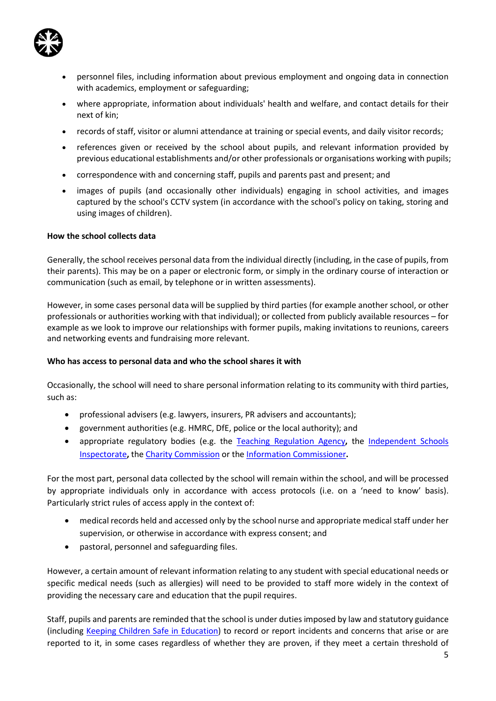

- personnel files, including information about previous employment and ongoing data in connection with academics, employment or safeguarding;
- where appropriate, information about individuals' health and welfare, and contact details for their next of kin;
- records of staff, visitor or alumni attendance at training or special events, and daily visitor records;
- references given or received by the school about pupils, and relevant information provided by previous educational establishments and/or other professionals or organisations working with pupils;
- correspondence with and concerning staff, pupils and parents past and present; and
- images of pupils (and occasionally other individuals) engaging in school activities, and images captured by the school's CCTV system (in accordance with the school's policy on taking, storing and using images of children).

# How the school collects data

Generally, the school receives personal data from the individual directly (including, in the case of pupils, from their parents). This may be on a paper or electronic form, or simply in the ordinary course of interaction or communication (such as email, by telephone or in written assessments).

However, in some cases personal data will be supplied by third parties (for example another school, or other professionals or authorities working with that individual); or collected from publicly available resources – for example as we look to improve our relationships with former pupils, making invitations to reunions, careers and networking events and fundraising more relevant.

# Who has access to personal data and who the school shares it with

Occasionally, the school will need to share personal information relating to its community with third parties, such as:

- professional advisers (e.g. lawyers, insurers, PR advisers and accountants);
- government authorities (e.g. HMRC, DfE, police or the local authority); and
- appropriate regulatory bodies (e.g. the Teaching Regulation Agency, the Independent Schools Inspectorate, the Charity Commission or the Information Commissioner.

For the most part, personal data collected by the school will remain within the school, and will be processed by appropriate individuals only in accordance with access protocols (i.e. on a 'need to know' basis). Particularly strict rules of access apply in the context of:

- medical records held and accessed only by the school nurse and appropriate medical staff under her supervision, or otherwise in accordance with express consent; and
- pastoral, personnel and safeguarding files.

However, a certain amount of relevant information relating to any student with special educational needs or specific medical needs (such as allergies) will need to be provided to staff more widely in the context of providing the necessary care and education that the pupil requires.

Staff, pupils and parents are reminded that the school is under duties imposed by law and statutory guidance (including Keeping Children Safe in Education) to record or report incidents and concerns that arise or are reported to it, in some cases regardless of whether they are proven, if they meet a certain threshold of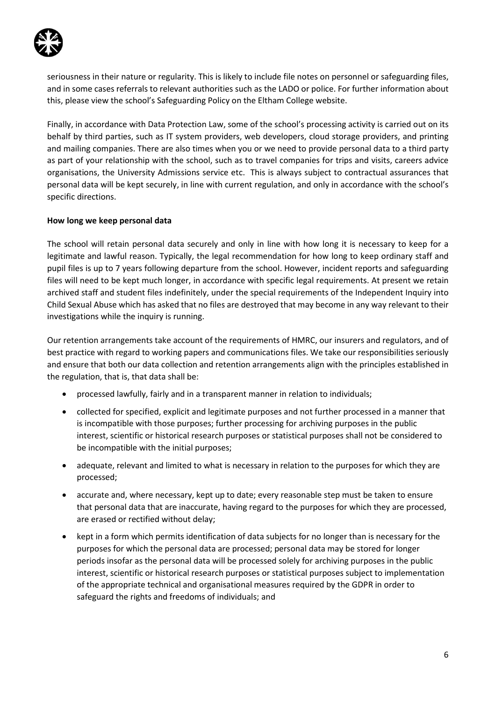

seriousness in their nature or regularity. This is likely to include file notes on personnel or safeguarding files, and in some cases referrals to relevant authorities such as the LADO or police. For further information about this, please view the school's Safeguarding Policy on the Eltham College website.

Finally, in accordance with Data Protection Law, some of the school's processing activity is carried out on its behalf by third parties, such as IT system providers, web developers, cloud storage providers, and printing and mailing companies. There are also times when you or we need to provide personal data to a third party as part of your relationship with the school, such as to travel companies for trips and visits, careers advice organisations, the University Admissions service etc. This is always subject to contractual assurances that personal data will be kept securely, in line with current regulation, and only in accordance with the school's specific directions.

# How long we keep personal data

The school will retain personal data securely and only in line with how long it is necessary to keep for a legitimate and lawful reason. Typically, the legal recommendation for how long to keep ordinary staff and pupil files is up to 7 years following departure from the school. However, incident reports and safeguarding files will need to be kept much longer, in accordance with specific legal requirements. At present we retain archived staff and student files indefinitely, under the special requirements of the Independent Inquiry into Child Sexual Abuse which has asked that no files are destroyed that may become in any way relevant to their investigations while the inquiry is running.

Our retention arrangements take account of the requirements of HMRC, our insurers and regulators, and of best practice with regard to working papers and communications files. We take our responsibilities seriously and ensure that both our data collection and retention arrangements align with the principles established in the regulation, that is, that data shall be:

- processed lawfully, fairly and in a transparent manner in relation to individuals;
- collected for specified, explicit and legitimate purposes and not further processed in a manner that is incompatible with those purposes; further processing for archiving purposes in the public interest, scientific or historical research purposes or statistical purposes shall not be considered to be incompatible with the initial purposes;
- adequate, relevant and limited to what is necessary in relation to the purposes for which they are processed;
- accurate and, where necessary, kept up to date; every reasonable step must be taken to ensure that personal data that are inaccurate, having regard to the purposes for which they are processed, are erased or rectified without delay;
- kept in a form which permits identification of data subjects for no longer than is necessary for the purposes for which the personal data are processed; personal data may be stored for longer periods insofar as the personal data will be processed solely for archiving purposes in the public interest, scientific or historical research purposes or statistical purposes subject to implementation of the appropriate technical and organisational measures required by the GDPR in order to safeguard the rights and freedoms of individuals; and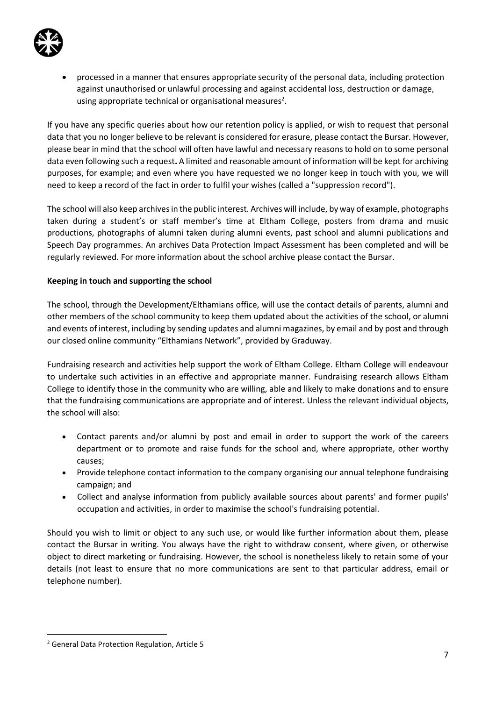

 processed in a manner that ensures appropriate security of the personal data, including protection against unauthorised or unlawful processing and against accidental loss, destruction or damage, using appropriate technical or organisational measures<sup>2</sup>.

If you have any specific queries about how our retention policy is applied, or wish to request that personal data that you no longer believe to be relevant is considered for erasure, please contact the Bursar. However, please bear in mind that the school will often have lawful and necessary reasons to hold on to some personal data even following such a request. A limited and reasonable amount of information will be kept for archiving purposes, for example; and even where you have requested we no longer keep in touch with you, we will need to keep a record of the fact in order to fulfil your wishes (called a "suppression record").

The school will also keep archives in the public interest. Archives will include, by way of example, photographs taken during a student's or staff member's time at Eltham College, posters from drama and music productions, photographs of alumni taken during alumni events, past school and alumni publications and Speech Day programmes. An archives Data Protection Impact Assessment has been completed and will be regularly reviewed. For more information about the school archive please contact the Bursar.

## Keeping in touch and supporting the school

The school, through the Development/Elthamians office, will use the contact details of parents, alumni and other members of the school community to keep them updated about the activities of the school, or alumni and events of interest, including by sending updates and alumni magazines, by email and by post and through our closed online community "Elthamians Network", provided by Graduway.

Fundraising research and activities help support the work of Eltham College. Eltham College will endeavour to undertake such activities in an effective and appropriate manner. Fundraising research allows Eltham College to identify those in the community who are willing, able and likely to make donations and to ensure that the fundraising communications are appropriate and of interest. Unless the relevant individual objects, the school will also:

- Contact parents and/or alumni by post and email in order to support the work of the careers department or to promote and raise funds for the school and, where appropriate, other worthy causes;
- Provide telephone contact information to the company organising our annual telephone fundraising campaign; and
- Collect and analyse information from publicly available sources about parents' and former pupils' occupation and activities, in order to maximise the school's fundraising potential.

Should you wish to limit or object to any such use, or would like further information about them, please contact the Bursar in writing. You always have the right to withdraw consent, where given, or otherwise object to direct marketing or fundraising. However, the school is nonetheless likely to retain some of your details (not least to ensure that no more communications are sent to that particular address, email or telephone number).

<sup>2</sup> General Data Protection Regulation, Article 5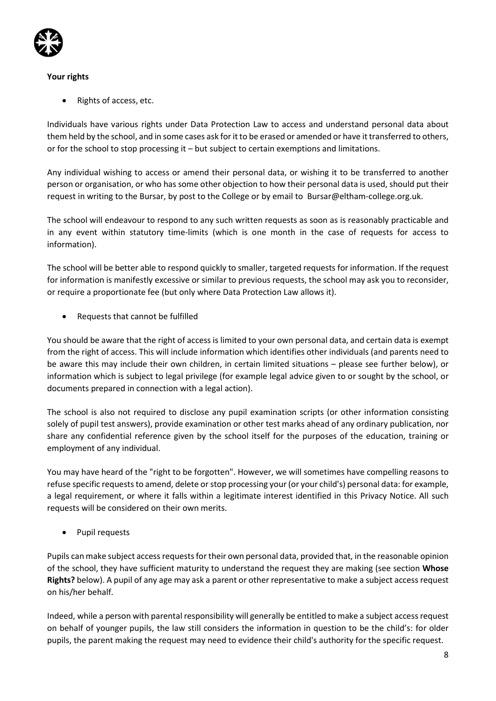

# Your rights

Rights of access, etc.

Individuals have various rights under Data Protection Law to access and understand personal data about them held by the school, and in some cases ask for it to be erased or amended or have it transferred to others, or for the school to stop processing it – but subject to certain exemptions and limitations.

Any individual wishing to access or amend their personal data, or wishing it to be transferred to another person or organisation, or who has some other objection to how their personal data is used, should put their request in writing to the Bursar, by post to the College or by email to Bursar@eltham-college.org.uk.

The school will endeavour to respond to any such written requests as soon as is reasonably practicable and in any event within statutory time-limits (which is one month in the case of requests for access to information).

The school will be better able to respond quickly to smaller, targeted requests for information. If the request for information is manifestly excessive or similar to previous requests, the school may ask you to reconsider, or require a proportionate fee (but only where Data Protection Law allows it).

Requests that cannot be fulfilled

You should be aware that the right of access is limited to your own personal data, and certain data is exempt from the right of access. This will include information which identifies other individuals (and parents need to be aware this may include their own children, in certain limited situations – please see further below), or information which is subject to legal privilege (for example legal advice given to or sought by the school, or documents prepared in connection with a legal action).

The school is also not required to disclose any pupil examination scripts (or other information consisting solely of pupil test answers), provide examination or other test marks ahead of any ordinary publication, nor share any confidential reference given by the school itself for the purposes of the education, training or employment of any individual.

You may have heard of the "right to be forgotten". However, we will sometimes have compelling reasons to refuse specific requests to amend, delete or stop processing your (or your child's) personal data: for example, a legal requirement, or where it falls within a legitimate interest identified in this Privacy Notice. All such requests will be considered on their own merits.

• Pupil requests

Pupils can make subject access requests for their own personal data, provided that, in the reasonable opinion of the school, they have sufficient maturity to understand the request they are making (see section Whose Rights? below). A pupil of any age may ask a parent or other representative to make a subject access request on his/her behalf.

Indeed, while a person with parental responsibility will generally be entitled to make a subject access request on behalf of younger pupils, the law still considers the information in question to be the child's: for older pupils, the parent making the request may need to evidence their child's authority for the specific request.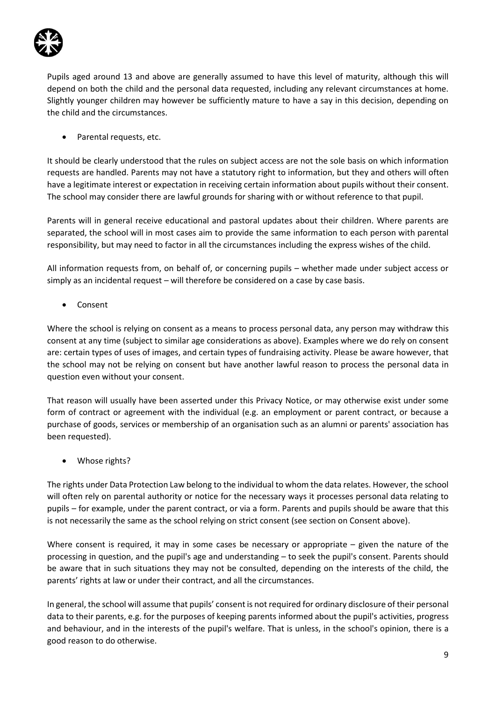

Pupils aged around 13 and above are generally assumed to have this level of maturity, although this will depend on both the child and the personal data requested, including any relevant circumstances at home. Slightly younger children may however be sufficiently mature to have a say in this decision, depending on the child and the circumstances.

• Parental requests, etc.

It should be clearly understood that the rules on subject access are not the sole basis on which information requests are handled. Parents may not have a statutory right to information, but they and others will often have a legitimate interest or expectation in receiving certain information about pupils without their consent. The school may consider there are lawful grounds for sharing with or without reference to that pupil.

Parents will in general receive educational and pastoral updates about their children. Where parents are separated, the school will in most cases aim to provide the same information to each person with parental responsibility, but may need to factor in all the circumstances including the express wishes of the child.

All information requests from, on behalf of, or concerning pupils – whether made under subject access or simply as an incidental request – will therefore be considered on a case by case basis.

Consent

Where the school is relying on consent as a means to process personal data, any person may withdraw this consent at any time (subject to similar age considerations as above). Examples where we do rely on consent are: certain types of uses of images, and certain types of fundraising activity. Please be aware however, that the school may not be relying on consent but have another lawful reason to process the personal data in question even without your consent.

That reason will usually have been asserted under this Privacy Notice, or may otherwise exist under some form of contract or agreement with the individual (e.g. an employment or parent contract, or because a purchase of goods, services or membership of an organisation such as an alumni or parents' association has been requested).

• Whose rights?

The rights under Data Protection Law belong to the individual to whom the data relates. However, the school will often rely on parental authority or notice for the necessary ways it processes personal data relating to pupils – for example, under the parent contract, or via a form. Parents and pupils should be aware that this is not necessarily the same as the school relying on strict consent (see section on Consent above).

Where consent is required, it may in some cases be necessary or appropriate – given the nature of the processing in question, and the pupil's age and understanding – to seek the pupil's consent. Parents should be aware that in such situations they may not be consulted, depending on the interests of the child, the parents' rights at law or under their contract, and all the circumstances.

In general, the school will assume that pupils' consent is not required for ordinary disclosure of their personal data to their parents, e.g. for the purposes of keeping parents informed about the pupil's activities, progress and behaviour, and in the interests of the pupil's welfare. That is unless, in the school's opinion, there is a good reason to do otherwise.